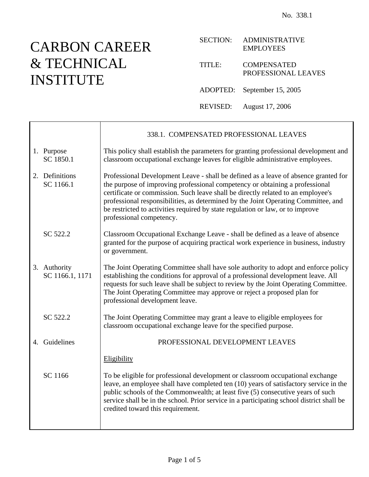# CARBON CAREER & TECHNICAL INSTITUTE

 $\overline{\phantom{a}}$ 

Γ

| <b>SECTION:</b> | <b>ADMINISTRATIVE</b><br><b>EMPLOYEES</b> |
|-----------------|-------------------------------------------|
| TITLE:          | <b>COMPENSATED</b><br>PROFESSIONAL LEAVES |
|                 | ADOPTED: September 15, 2005               |

REVISED: August 17, 2006

|                                 | 338.1. COMPENSATED PROFESSIONAL LEAVES                                                                                                                                                                                                                                                                                                                                                                                                                      |
|---------------------------------|-------------------------------------------------------------------------------------------------------------------------------------------------------------------------------------------------------------------------------------------------------------------------------------------------------------------------------------------------------------------------------------------------------------------------------------------------------------|
| 1. Purpose<br>SC 1850.1         | This policy shall establish the parameters for granting professional development and<br>classroom occupational exchange leaves for eligible administrative employees.                                                                                                                                                                                                                                                                                       |
| 2. Definitions<br>SC 1166.1     | Professional Development Leave - shall be defined as a leave of absence granted for<br>the purpose of improving professional competency or obtaining a professional<br>certificate or commission. Such leave shall be directly related to an employee's<br>professional responsibilities, as determined by the Joint Operating Committee, and<br>be restricted to activities required by state regulation or law, or to improve<br>professional competency. |
| SC 522.2                        | Classroom Occupational Exchange Leave - shall be defined as a leave of absence<br>granted for the purpose of acquiring practical work experience in business, industry<br>or government.                                                                                                                                                                                                                                                                    |
| 3. Authority<br>SC 1166.1, 1171 | The Joint Operating Committee shall have sole authority to adopt and enforce policy<br>establishing the conditions for approval of a professional development leave. All<br>requests for such leave shall be subject to review by the Joint Operating Committee.<br>The Joint Operating Committee may approve or reject a proposed plan for<br>professional development leave.                                                                              |
| SC 522.2                        | The Joint Operating Committee may grant a leave to eligible employees for<br>classroom occupational exchange leave for the specified purpose.                                                                                                                                                                                                                                                                                                               |
| 4. Guidelines                   | PROFESSIONAL DEVELOPMENT LEAVES                                                                                                                                                                                                                                                                                                                                                                                                                             |
|                                 | Eligibility                                                                                                                                                                                                                                                                                                                                                                                                                                                 |
| SC 1166                         | To be eligible for professional development or classroom occupational exchange<br>leave, an employee shall have completed ten (10) years of satisfactory service in the<br>public schools of the Commonwealth; at least five (5) consecutive years of such<br>service shall be in the school. Prior service in a participating school district shall be<br>credited toward this requirement.                                                                |
|                                 |                                                                                                                                                                                                                                                                                                                                                                                                                                                             |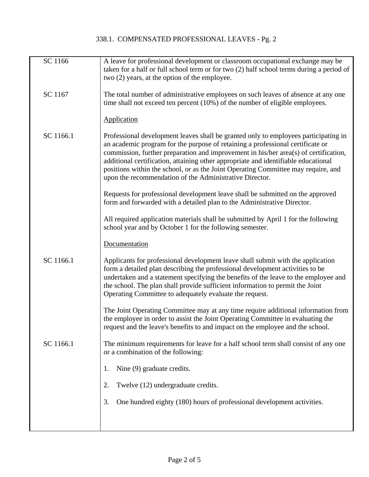| SC 1166   | A leave for professional development or classroom occupational exchange may be<br>taken for a half or full school term or for two (2) half school terms during a period of<br>two (2) years, at the option of the employee.                                                                                                                                                                                                                                                                         |
|-----------|-----------------------------------------------------------------------------------------------------------------------------------------------------------------------------------------------------------------------------------------------------------------------------------------------------------------------------------------------------------------------------------------------------------------------------------------------------------------------------------------------------|
| SC 1167   | The total number of administrative employees on such leaves of absence at any one<br>time shall not exceed ten percent (10%) of the number of eligible employees.                                                                                                                                                                                                                                                                                                                                   |
|           | <b>Application</b>                                                                                                                                                                                                                                                                                                                                                                                                                                                                                  |
| SC 1166.1 | Professional development leaves shall be granted only to employees participating in<br>an academic program for the purpose of retaining a professional certificate or<br>commission, further preparation and improvement in his/her area(s) of certification,<br>additional certification, attaining other appropriate and identifiable educational<br>positions within the school, or as the Joint Operating Committee may require, and<br>upon the recommendation of the Administrative Director. |
|           | Requests for professional development leave shall be submitted on the approved<br>form and forwarded with a detailed plan to the Administrative Director.                                                                                                                                                                                                                                                                                                                                           |
|           | All required application materials shall be submitted by April 1 for the following<br>school year and by October 1 for the following semester.                                                                                                                                                                                                                                                                                                                                                      |
|           | Documentation                                                                                                                                                                                                                                                                                                                                                                                                                                                                                       |
| SC 1166.1 | Applicants for professional development leave shall submit with the application<br>form a detailed plan describing the professional development activities to be<br>undertaken and a statement specifying the benefits of the leave to the employee and<br>the school. The plan shall provide sufficient information to permit the Joint<br>Operating Committee to adequately evaluate the request.                                                                                                 |
|           | The Joint Operating Committee may at any time require additional information from<br>the employee in order to assist the Joint Operating Committee in evaluating the<br>request and the leave's benefits to and impact on the employee and the school.                                                                                                                                                                                                                                              |
| SC 1166.1 | The minimum requirements for leave for a half school term shall consist of any one<br>or a combination of the following:                                                                                                                                                                                                                                                                                                                                                                            |
|           | Nine (9) graduate credits.<br>1.                                                                                                                                                                                                                                                                                                                                                                                                                                                                    |
|           | Twelve (12) undergraduate credits.<br>2.                                                                                                                                                                                                                                                                                                                                                                                                                                                            |
|           | One hundred eighty (180) hours of professional development activities.<br>3.                                                                                                                                                                                                                                                                                                                                                                                                                        |
|           |                                                                                                                                                                                                                                                                                                                                                                                                                                                                                                     |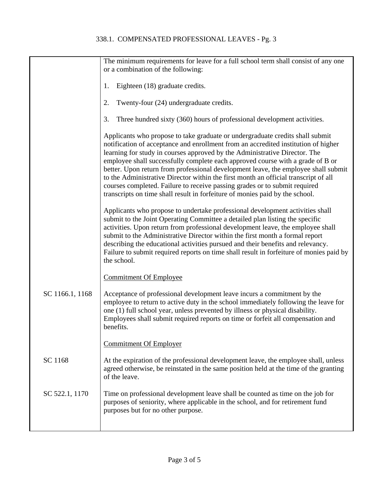|                 | The minimum requirements for leave for a full school term shall consist of any one<br>or a combination of the following:                                                                                                                                                                                                                                                                                                                                                                                                                                                                                                                                                       |
|-----------------|--------------------------------------------------------------------------------------------------------------------------------------------------------------------------------------------------------------------------------------------------------------------------------------------------------------------------------------------------------------------------------------------------------------------------------------------------------------------------------------------------------------------------------------------------------------------------------------------------------------------------------------------------------------------------------|
|                 | Eighteen (18) graduate credits.<br>1.                                                                                                                                                                                                                                                                                                                                                                                                                                                                                                                                                                                                                                          |
|                 | Twenty-four (24) undergraduate credits.<br>2.                                                                                                                                                                                                                                                                                                                                                                                                                                                                                                                                                                                                                                  |
|                 | Three hundred sixty (360) hours of professional development activities.<br>3.                                                                                                                                                                                                                                                                                                                                                                                                                                                                                                                                                                                                  |
|                 | Applicants who propose to take graduate or undergraduate credits shall submit<br>notification of acceptance and enrollment from an accredited institution of higher<br>learning for study in courses approved by the Administrative Director. The<br>employee shall successfully complete each approved course with a grade of B or<br>better. Upon return from professional development leave, the employee shall submit<br>to the Administrative Director within the first month an official transcript of all<br>courses completed. Failure to receive passing grades or to submit required<br>transcripts on time shall result in forfeiture of monies paid by the school. |
|                 | Applicants who propose to undertake professional development activities shall<br>submit to the Joint Operating Committee a detailed plan listing the specific<br>activities. Upon return from professional development leave, the employee shall<br>submit to the Administrative Director within the first month a formal report<br>describing the educational activities pursued and their benefits and relevancy.<br>Failure to submit required reports on time shall result in forfeiture of monies paid by<br>the school.                                                                                                                                                  |
|                 | <b>Commitment Of Employee</b>                                                                                                                                                                                                                                                                                                                                                                                                                                                                                                                                                                                                                                                  |
| SC 1166.1, 1168 | Acceptance of professional development leave incurs a commitment by the<br>employee to return to active duty in the school immediately following the leave for<br>one (1) full school year, unless prevented by illness or physical disability.<br>Employees shall submit required reports on time or forfeit all compensation and<br>benefits.                                                                                                                                                                                                                                                                                                                                |
|                 | <b>Commitment Of Employer</b>                                                                                                                                                                                                                                                                                                                                                                                                                                                                                                                                                                                                                                                  |
| SC 1168         | At the expiration of the professional development leave, the employee shall, unless<br>agreed otherwise, be reinstated in the same position held at the time of the granting<br>of the leave.                                                                                                                                                                                                                                                                                                                                                                                                                                                                                  |
| SC 522.1, 1170  | Time on professional development leave shall be counted as time on the job for<br>purposes of seniority, where applicable in the school, and for retirement fund<br>purposes but for no other purpose.                                                                                                                                                                                                                                                                                                                                                                                                                                                                         |
|                 |                                                                                                                                                                                                                                                                                                                                                                                                                                                                                                                                                                                                                                                                                |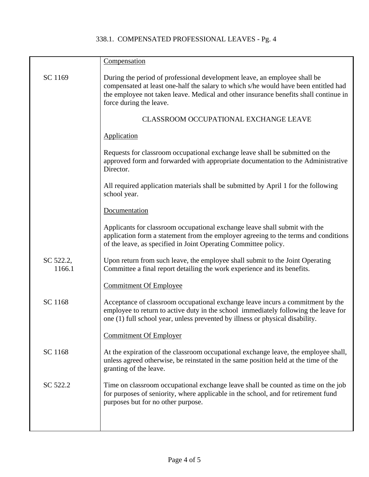|                     | Compensation                                                                                                                                                                                                                                                                        |
|---------------------|-------------------------------------------------------------------------------------------------------------------------------------------------------------------------------------------------------------------------------------------------------------------------------------|
| SC 1169             | During the period of professional development leave, an employee shall be<br>compensated at least one-half the salary to which s/he would have been entitled had<br>the employee not taken leave. Medical and other insurance benefits shall continue in<br>force during the leave. |
|                     | <b>CLASSROOM OCCUPATIONAL EXCHANGE LEAVE</b>                                                                                                                                                                                                                                        |
|                     | Application                                                                                                                                                                                                                                                                         |
|                     | Requests for classroom occupational exchange leave shall be submitted on the<br>approved form and forwarded with appropriate documentation to the Administrative<br>Director.                                                                                                       |
|                     | All required application materials shall be submitted by April 1 for the following<br>school year.                                                                                                                                                                                  |
|                     | Documentation                                                                                                                                                                                                                                                                       |
|                     | Applicants for classroom occupational exchange leave shall submit with the<br>application form a statement from the employer agreeing to the terms and conditions<br>of the leave, as specified in Joint Operating Committee policy.                                                |
| SC 522.2,<br>1166.1 | Upon return from such leave, the employee shall submit to the Joint Operating<br>Committee a final report detailing the work experience and its benefits.                                                                                                                           |
|                     | <b>Commitment Of Employee</b>                                                                                                                                                                                                                                                       |
| SC 1168             | Acceptance of classroom occupational exchange leave incurs a commitment by the<br>employee to return to active duty in the school immediately following the leave for<br>one (1) full school year, unless prevented by illness or physical disability.                              |
|                     | <b>Commitment Of Employer</b>                                                                                                                                                                                                                                                       |
| SC 1168             | At the expiration of the classroom occupational exchange leave, the employee shall,<br>unless agreed otherwise, be reinstated in the same position held at the time of the<br>granting of the leave.                                                                                |
| SC 522.2            | Time on classroom occupational exchange leave shall be counted as time on the job<br>for purposes of seniority, where applicable in the school, and for retirement fund<br>purposes but for no other purpose.                                                                       |
|                     |                                                                                                                                                                                                                                                                                     |